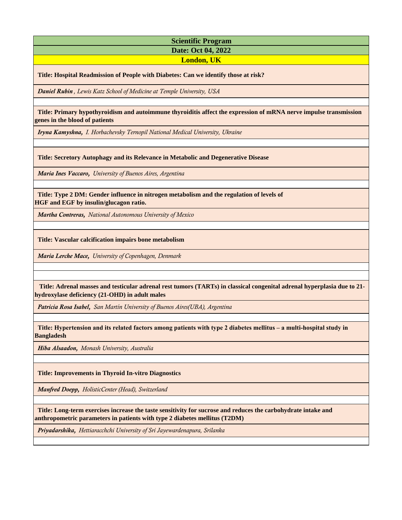## **Scientific Program Date: Oct 04, 2022 London, UK**

 **Title: Hospital Readmission of People with Diabetes: Can we identify those at risk?**

 *Daniel Rubin , Lewis Katz School of Medicine at Temple University, USA*

 **Title: Primary hypothyroidism and autoimmune thyroiditis affect the expression of mRNA nerve impulse transmission genes in the blood of patients**

 *Iryna Kamyshna, I. Horbachevsky Ternopil National Medical University, Ukraine*

 **Title: Secretory Autophagy and its Relevance in Metabolic and Degenerative Disease**

 *Maria Ines Vaccaro, University of Buenos Aires, Argentina*

 **Title: Type 2 DM: Gender influence in nitrogen metabolism and the regulation of levels of HGF and EGF by insulin/glucagon ratio.**

 *Martha Contreras, National Autonomous University of Mexico*

 **Title: Vascular calcification impairs bone metabolism** 

 *Maria Lerche Mace, University of Copenhagen, Denmark*

 **Title: Adrenal masses and testicular adrenal rest tumors (TARTs) in classical congenital adrenal hyperplasia due to 21 hydroxylase deficiency (21-OHD) in adult males**

 *Patricia Rosa Isabel, San Martín University of Buenos Aires(UBA), Argentina*

 **Title: Hypertension and its related factors among patients with type 2 diabetes mellitus – a multi-hospital study in Bangladesh**

 *Hiba Alsaadon, Monash University, Australia*

 **Title: Improvements in Thyroid In-vitro Diagnostics**

 *Manfred Doepp, HolisticCenter (Head), Switzerland*

 **Title: Long-term exercises increase the taste sensitivity for sucrose and reduces the carbohydrate intake and anthropometric parameters in patients with type 2 diabetes mellitus (T2DM)**

 *Priyadarshika, Hettiaracchchi University of Sri Jayewardenapura, Srilanka*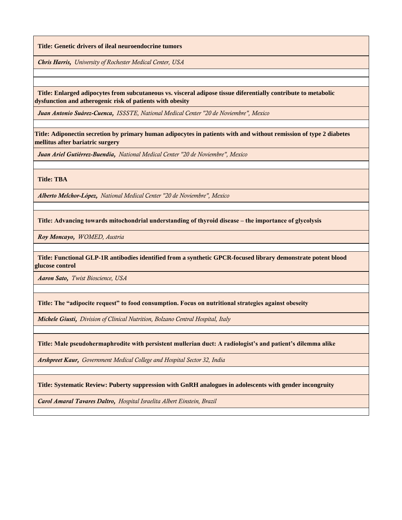**Title: Genetic drivers of ileal neuroendocrine tumors**

 *Chris Harris, University of Rochester Medical Center, USA*

 **Title: Enlarged adipocytes from subcutaneous vs. visceral adipose tissue diferentially contribute to metabolic dysfunction and atherogenic risk of patients with obesity**

 *Juan Antonio Suárez-Cuenca, ISSSTE, National Medical Center "20 de Noviembre", Mexico*

**Title: Adiponectin secretion by primary human adipocytes in patients with and without remission of type 2 diabetes mellitus after bariatric surgery**

 *Juan Ariel Gutiérrez-Buendía, National Medical Center "20 de Noviembre", Mexico*

 **Title: TBA**

 *Alberto Melchor-López, National Medical Center "20 de Noviembre", Mexico*

 **Title: Advancing towards mitochondrial understanding of thyroid disease – the importance of glycolysis**

 *Roy Moncayo, WOMED, Austria*

 **Title: Functional GLP-1R antibodies identified from a synthetic GPCR-focused library demonstrate potent blood glucose control**

 *Aaron Sato, Twist Bioscience, USA*

 **Title: The "adipocite request" to food consumption. Focus on nutritional strategies against obeseity**

 *Michele Giusti, Division of Clinical Nutrition, Bolzano Central Hospital, Italy*

 **Title: Male pseudohermaphrodite with persistent mullerian duct: A radiologist's and patient's dilemma alike**

 *Arshpreet Kaur, Government Medical College and Hospital Sector 32, India*

 **Title: Systematic Review: Puberty suppression with GnRH analogues in adolescents with gender incongruity**

 *Carol Amaral Tavares Daltro, Hospital Israelita Albert Einstein, Brazil*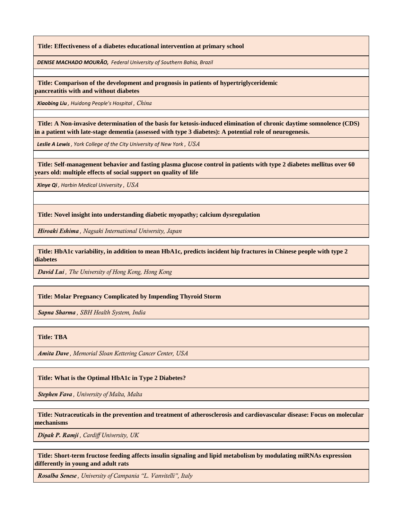**Title: Effectiveness of a diabetes educational intervention at primary school**

 *DENISE MACHADO MOURÃO, Federal University of Southern Bahia, Brazil*

 **Title: Comparison of the development and prognosis in patients of hypertriglyceridemic pancreatitis with and without diabetes**

 *Xiaobing Liu , Huidong People's Hospital , China*

 **Title: A Non-invasive determination of the basis for ketosis-induced elimination of chronic daytime somnolence (CDS) in a patient with late-stage dementia (assessed with type 3 diabetes): A potential role of neurogenesis.**

 *Leslie A Lewis, York College of the City University of New York , USA*

 **Title: Self-management behavior and fasting plasma glucose control in patients with type 2 diabetes mellitus over 60 years old: multiple effects of social support on quality of life**

 *Xinye Qi , Harbin Medical University , USA*

 **Title: Novel insight into understanding diabetic myopathy; calcium dysregulation**

 *Hiroaki Eshima , Nagsaki International University, Japan*

 **Title: HbA1c variability, in addition to mean HbA1c, predicts incident hip fractures in Chinese people with type 2 diabetes**

 *David Lui , The University of Hong Kong, Hong Kong*

 **Title: Molar Pregnancy Complicated by Impending Thyroid Storm**

 *Sapna Sharma , SBH Health System, India*

 **Title: TBA**

 *Amita Dave, Memorial Sloan Kettering Cancer Center, USA*

 **Title: What is the Optimal HbA1c in Type 2 Diabetes?**

 *Stephen Fava , University of Malta, Malta*

 **Title: Nutraceuticals in the prevention and treatment of atherosclerosis and cardiovascular disease: Focus on molecular mechanisms**

 *Dipak P. Ramji , Cardiff University, UK*

 **Title: Short-term fructose feeding affects insulin signaling and lipid metabolism by modulating miRNAs expression differently in young and adult rats**

 *Rosalba Senese, University of Campania "L. Vanvitelli", Italy*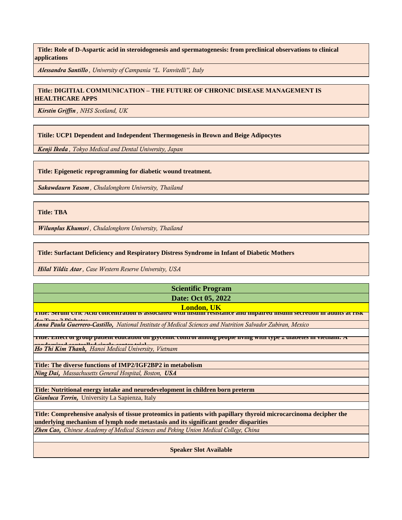**Title: Role of D-Aspartic acid in steroidogenesis and spermatogenesis: from preclinical observations to clinical applications**

 *Alessandra Santillo , University of Campania "L. Vanvitelli", Italy*

## **Title: DIGITIAL COMMUNICATION – THE FUTURE OF CHRONIC DISEASE MANAGEMENT IS HEALTHCARE APPS**

 *Kirstin Griffin , NHS Scotland, UK*

## **Titile: UCP1 Dependent and Independent Thermogenesis in Brown and Beige Adipocytes**

 *Kenji Ikeda , Tokyo Medical and Dental University, Japan*

 **Title: Epigenetic reprogramming for diabetic wound treatment.**

 *Sakawdaurn Yasom , Chulalongkorn University, Thailand*

 **Title: TBA**

 *Wilunplus Khumsri , Chulalongkorn University, Thailand*

## **Title: Surfactant Deficiency and Respiratory Distress Syndrome in Infant of Diabetic Mothers**

 *Hilal Yildiz Atar , Case Western Reserve University, USA*

**Scientific Program Date: Oct 05, 2022**

**London, UK**

**Title: Serum Uric Acid concentration is associated with insulin resistance and impaired insulin secretion in adults at risk** 

**for Type 2 Diabetes** *Anna Paula Guerrero-Castillo, National Institute of Medical Sciences and Nutrition Salvador Zubiran, Mexico*

**Title: Effect of group patient education on glycemic control among people living with type 2 diabetes in vietnam: A Ho Thi Kim Thanh,** Hanoi Medical University, Vietnam

**Title: The diverse functions of IMP2/IGF2BP2 in metabolism** *Ning Dai, Massachusetts General Hospital, Boston, USA*

**Title: Nutritional energy intake and neurodevelopment in children born preterm** *Gianluca Terrin,* University La Sapienza, Italy

**Title: Comprehensive analysis of tissue proteomics in patients with papillary thyroid microcarcinoma decipher the underlying mechanism of lymph node metastasis and its significant gender disparities** *Zhen Cao, Chinese Academy of Medical Sciences and Peking Union Medical College, China*

**Speaker Slot Available**